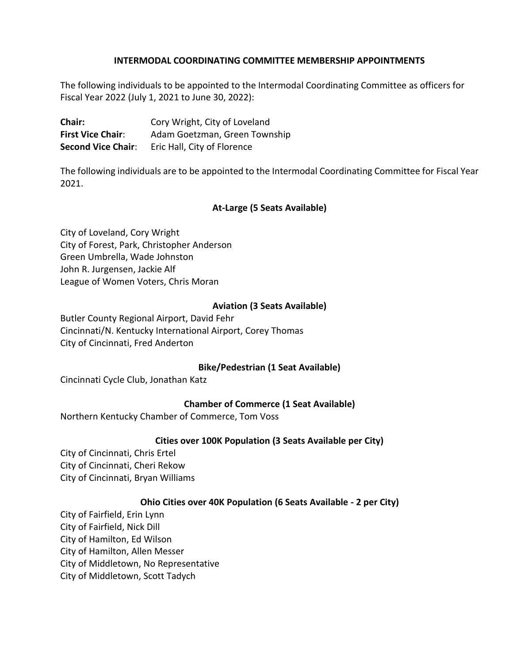## **INTERMODAL COORDINATING COMMITTEE MEMBERSHIP APPOINTMENTS**

The following individuals to be appointed to the Intermodal Coordinating Committee as officers for Fiscal Year 2022 (July 1, 2021 to June 30, 2022):

**Chair:** Cory Wright, City of Loveland **First Vice Chair**: Adam Goetzman, Green Township **Second Vice Chair:** Eric Hall, City of Florence

The following individuals are to be appointed to the Intermodal Coordinating Committee for Fiscal Year 2021.

## **At-Large (5 Seats Available)**

City of Loveland, Cory Wright City of Forest, Park, Christopher Anderson Green Umbrella, Wade Johnston John R. Jurgensen, Jackie Alf League of Women Voters, Chris Moran

### **Aviation (3 Seats Available)**

Butler County Regional Airport, David Fehr Cincinnati/N. Kentucky International Airport, Corey Thomas City of Cincinnati, Fred Anderton

### **Bike/Pedestrian (1 Seat Available)**

Cincinnati Cycle Club, Jonathan Katz

### **Chamber of Commerce (1 Seat Available)**

Northern Kentucky Chamber of Commerce, Tom Voss

### **Cities over 100K Population (3 Seats Available per City)**

City of Cincinnati, Chris Ertel City of Cincinnati, Cheri Rekow City of Cincinnati, Bryan Williams

### **Ohio Cities over 40K Population (6 Seats Available - 2 per City)**

City of Fairfield, Erin Lynn City of Fairfield, Nick Dill City of Hamilton, Ed Wilson City of Hamilton, Allen Messer City of Middletown, No Representative City of Middletown, Scott Tadych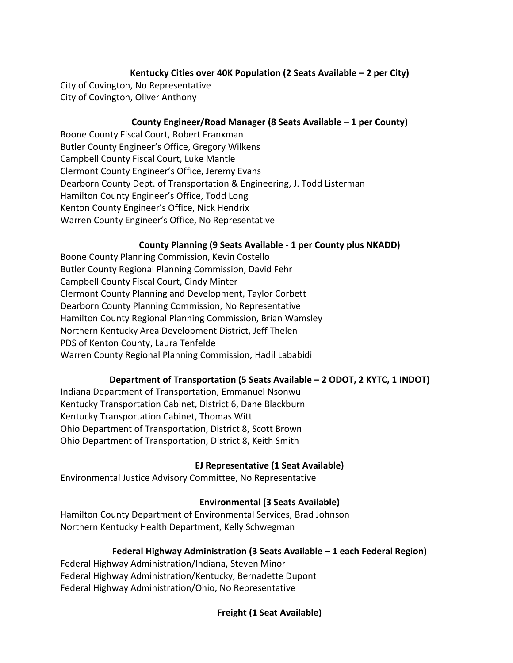# **Kentucky Cities over 40K Population (2 Seats Available – 2 per City)**

City of Covington, No Representative City of Covington, Oliver Anthony

## **County Engineer/Road Manager (8 Seats Available – 1 per County)**

Boone County Fiscal Court, Robert Franxman Butler County Engineer's Office, Gregory Wilkens Campbell County Fiscal Court, Luke Mantle Clermont County Engineer's Office, Jeremy Evans Dearborn County Dept. of Transportation & Engineering, J. Todd Listerman Hamilton County Engineer's Office, Todd Long Kenton County Engineer's Office, Nick Hendrix Warren County Engineer's Office, No Representative

## **County Planning (9 Seats Available - 1 per County plus NKADD)**

Boone County Planning Commission, Kevin Costello Butler County Regional Planning Commission, David Fehr Campbell County Fiscal Court, Cindy Minter Clermont County Planning and Development, Taylor Corbett Dearborn County Planning Commission, No Representative Hamilton County Regional Planning Commission, Brian Wamsley Northern Kentucky Area Development District, Jeff Thelen PDS of Kenton County, Laura Tenfelde Warren County Regional Planning Commission, Hadil Lababidi

# **Department of Transportation (5 Seats Available – 2 ODOT, 2 KYTC, 1 INDOT)**

Indiana Department of Transportation, Emmanuel Nsonwu Kentucky Transportation Cabinet, District 6, Dane Blackburn Kentucky Transportation Cabinet, Thomas Witt Ohio Department of Transportation, District 8, Scott Brown Ohio Department of Transportation, District 8, Keith Smith

# **EJ Representative (1 Seat Available)**

Environmental Justice Advisory Committee, No Representative

# **Environmental (3 Seats Available)**

Hamilton County Department of Environmental Services, Brad Johnson Northern Kentucky Health Department, Kelly Schwegman

## **Federal Highway Administration (3 Seats Available – 1 each Federal Region)**

Federal Highway Administration/Indiana, Steven Minor Federal Highway Administration/Kentucky, Bernadette Dupont Federal Highway Administration/Ohio, No Representative

**Freight (1 Seat Available)**